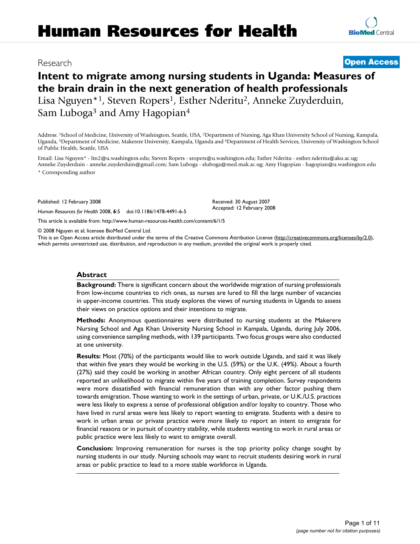# **Human Resources for Health**

# Research **[Open Access](http://www.biomedcentral.com/info/about/charter/)**

# **Intent to migrate among nursing students in Uganda: Measures of the brain drain in the next generation of health professionals** Lisa Nguyen\*<sup>1</sup>, Steven Ropers<sup>1</sup>, Esther Nderitu<sup>2</sup>, Anneke Zuyderduin, Sam Luboga<sup>3</sup> and Amy Hagopian<sup>4</sup>

Address: 1School of Medicine, University of Washington, Seattle, USA, 2Department of Nursing, Aga Khan University School of Nursing, Kampala, Uganda, 3Department of Medicine, Makerere University, Kampala, Uganda and 4Department of Health Services, University of Washington School of Public Health, Seattle, USA

Email: Lisa Nguyen\* - ltn2@u.washington.edu; Steven Ropers - sropers@u.washington.edu; Esther Nderitu - esther.nderitu@aku.ac.ug; Anneke Zuyderduin - anneke.zuyderduin@gmail.com; Sam Luboga - sluboga@med.mak.ac.ug; Amy Hagopian - hagopian@u.washington.edu \* Corresponding author

> Received: 30 August 2007 Accepted: 12 February 2008

Published: 12 February 2008

*Human Resources for Health* 2008, **6**:5 doi:10.1186/1478-4491-6-5

[This article is available from: http://www.human-resources-health.com/content/6/1/5](http://www.human-resources-health.com/content/6/1/5)

© 2008 Nguyen et al; licensee BioMed Central Ltd.

This is an Open Access article distributed under the terms of the Creative Commons Attribution License [\(http://creativecommons.org/licenses/by/2.0\)](http://creativecommons.org/licenses/by/2.0), which permits unrestricted use, distribution, and reproduction in any medium, provided the original work is properly cited.

### **Abstract**

**Background:** There is significant concern about the worldwide migration of nursing professionals from low-income countries to rich ones, as nurses are lured to fill the large number of vacancies in upper-income countries. This study explores the views of nursing students in Uganda to assess their views on practice options and their intentions to migrate.

**Methods:** Anonymous questionnaires were distributed to nursing students at the Makerere Nursing School and Aga Khan University Nursing School in Kampala, Uganda, during July 2006, using convenience sampling methods, with 139 participants. Two focus groups were also conducted at one university.

**Results:** Most (70%) of the participants would like to work outside Uganda, and said it was likely that within five years they would be working in the U.S. (59%) or the U.K. (49%). About a fourth (27%) said they could be working in another African country. Only eight percent of all students reported an unlikelihood to migrate within five years of training completion. Survey respondents were more dissatisfied with financial remuneration than with any other factor pushing them towards emigration. Those wanting to work in the settings of urban, private, or U.K./U.S. practices were less likely to express a sense of professional obligation and/or loyalty to country. Those who have lived in rural areas were less likely to report wanting to emigrate. Students with a desire to work in urban areas or private practice were more likely to report an intent to emigrate for financial reasons or in pursuit of country stability, while students wanting to work in rural areas or public practice were less likely to want to emigrate overall.

**Conclusion:** Improving remuneration for nurses is the top priority policy change sought by nursing students in our study. Nursing schools may want to recruit students desiring work in rural areas or public practice to lead to a more stable workforce in Uganda.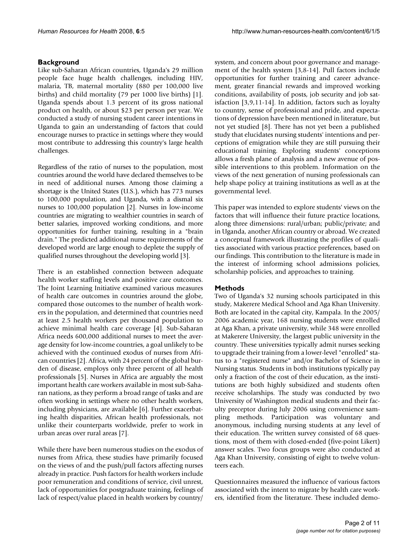# **Background**

Like sub-Saharan African countries, Uganda's 29 million people face huge health challenges, including HIV, malaria, TB, maternal mortality (880 per 100,000 live births) and child mortality (79 per 1000 live births) [1]. Uganda spends about 1.3 percent of its gross national product on health, or about \$23 per person per year. We conducted a study of nursing student career intentions in Uganda to gain an understanding of factors that could encourage nurses to practice in settings where they would most contribute to addressing this country's large health challenges.

Regardless of the ratio of nurses to the population, most countries around the world have declared themselves to be in need of additional nurses. Among those claiming a shortage is the United States (U.S.), which has 773 nurses to 100,000 population, and Uganda, with a dismal six nurses to 100,000 population [2]. Nurses in low-income countries are migrating to wealthier countries in search of better salaries, improved working conditions, and more opportunities for further training, resulting in a "brain drain." The predicted additional nurse requirements of the developed world are large enough to deplete the supply of qualified nurses throughout the developing world [3].

There is an established connection between adequate health worker staffing levels and positive care outcomes. The Joint Learning Initiative examined various measures of health care outcomes in countries around the globe, compared those outcomes to the number of health workers in the population, and determined that countries need at least 2.5 health workers per thousand population to achieve minimal health care coverage [4]. Sub-Saharan Africa needs 600,000 additional nurses to meet the average density for low-income countries, a goal unlikely to be achieved with the continued exodus of nurses from African countries [2]. Africa, with 24 percent of the global burden of disease, employs only three percent of all health professionals [\[5\]](#page-10-0). Nurses in Africa are arguably the most important health care workers available in most sub-Saharan nations, as they perform a broad range of tasks and are often working in settings where no other health workers, including physicians, are available [6]. Further exacerbating health disparities, African health professionals, not unlike their counterparts worldwide, prefer to work in urban areas over rural areas [7].

While there have been numerous studies on the exodus of nurses from Africa, these studies have primarily focused on the views of and the push/pull factors affecting nurses already in practice. Push factors for health workers include poor remuneration and conditions of service, civil unrest, lack of opportunities for postgraduate training, feelings of lack of respect/value placed in health workers by country/

system, and concern about poor governance and management of the health system [3,8-14]. Pull factors include opportunities for further training and career advancement, greater financial rewards and improved working conditions, availability of posts, job security and job satisfaction [3,9,11-14]. In addition, factors such as loyalty to country, sense of professional and pride, and expectations of depression have been mentioned in literature, but not yet studied [8]. There has not yet been a published study that elucidates nursing students' intentions and perceptions of emigration while they are still pursuing their educational training. Exploring students' conceptions allows a fresh plane of analysis and a new avenue of possible interventions to this problem. Information on the views of the next generation of nursing professionals can help shape policy at training institutions as well as at the governmental level.

This paper was intended to explore students' views on the factors that will influence their future practice locations, along three dimensions: rural/urban; public/private; and in Uganda, another African country or abroad. We created a conceptual framework illustrating the profiles of qualities associated with various practice preferences, based on our findings. This contribution to the literature is made in the interest of informing school admissions policies, scholarship policies, and approaches to training.

# **Methods**

Two of Uganda's 32 nursing schools participated in this study, Makerere Medical School and Aga Khan University. Both are located in the capital city, Kampala. In the 2005/ 2006 academic year, 168 nursing students were enrolled at Aga Khan, a private university, while 348 were enrolled at Makerere University, the largest public university in the country. These universities typically admit nurses seeking to upgrade their training from a lower-level "enrolled" status to a "registered nurse" and/or Bachelor of Science in Nursing status. Students in both institutions typically pay only a fraction of the cost of their education, as the institutions are both highly subsidized and students often receive scholarships. The study was conducted by two University of Washington medical students and their faculty preceptor during July 2006 using convenience sampling methods. Participation was voluntary and anonymous, including nursing students at any level of their education. The written survey consisted of 68 questions, most of them with closed-ended (five-point Likert) answer scales. Two focus groups were also conducted at Aga Khan University, consisting of eight to twelve volunteers each.

Questionnaires measured the influence of various factors associated with the intent to migrate by health care workers, identified from the literature. These included demo-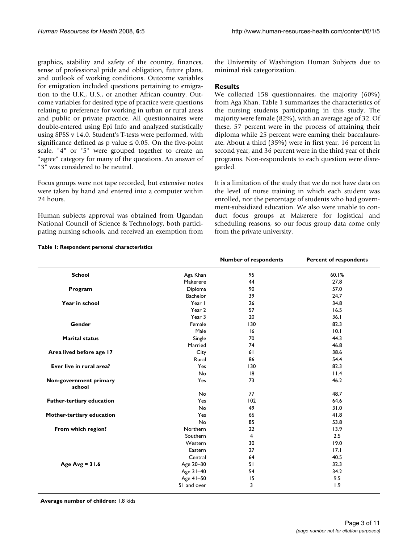graphics, stability and safety of the country, finances, sense of professional pride and obligation, future plans, and outlook of working conditions. Outcome variables for emigration included questions pertaining to emigration to the U.K., U.S., or another African country. Outcome variables for desired type of practice were questions relating to preference for working in urban or rural areas and public or private practice. All questionnaires were double-entered using Epi Info and analyzed statistically using SPSS v 14.0. Student's T-tests were performed, with significance defined as p value  $\leq 0.05$ . On the five-point scale, "4" or "5" were grouped together to create an "agree" category for many of the questions. An answer of "3" was considered to be neutral.

Focus groups were not tape recorded, but extensive notes were taken by hand and entered into a computer within 24 hours.

Human subjects approval was obtained from Ugandan National Council of Science & Technology, both participating nursing schools, and received an exemption from

the University of Washington Human Subjects due to minimal risk categorization.

# **Results**

We collected 158 questionnaires, the majority (60%) from Aga Khan. Table 1 summarizes the characteristics of the nursing students participating in this study. The majority were female (82%), with an average age of 32. Of these, 57 percent were in the process of attaining their diploma while 25 percent were earning their baccalaureate. About a third (35%) were in first year, 16 percent in second year, and 36 percent were in the third year of their programs. Non-respondents to each question were disregarded.

It is a limitation of the study that we do not have data on the level of nurse training in which each student was enrolled, nor the percentage of students who had government-subsidized education. We also were unable to conduct focus groups at Makerere for logistical and scheduling reasons, so our focus group data come only from the private university.

|                                  |                 | <b>Number of respondents</b> | <b>Percent of respondents</b> |
|----------------------------------|-----------------|------------------------------|-------------------------------|
| <b>School</b>                    | Aga Khan        | 95                           | 60.1%                         |
|                                  | Makerere        | 44                           | 27.8                          |
| Program                          | Diploma         | 90                           | 57.0                          |
|                                  | <b>Bachelor</b> | 39                           | 24.7                          |
| Year in school                   | Year I          | 26                           | 34.8                          |
|                                  | Year 2          | 57                           | 16.5                          |
|                                  | Year 3          | 20                           | 36.1                          |
| Gender                           | Female          | 130                          | 82.3                          |
|                                  | Male            | 16                           | 10.1                          |
| <b>Marital status</b>            | Single          | 70                           | 44.3                          |
|                                  | Married         | 74                           | 46.8                          |
| Area lived before age 17         | City            | 61                           | 38.6                          |
|                                  | Rural           | 86                           | 54.4                          |
| Ever live in rural area?         | Yes             | 130                          | 82.3                          |
|                                  | No              | 8                            | 11.4                          |
| Non-government primary<br>school | Yes             | 73                           | 46.2                          |
|                                  | <b>No</b>       | 77                           | 48.7                          |
| Father-tertiary education        | Yes             | 102                          | 64.6                          |
|                                  | No              | 49                           | 31.0                          |
| Mother-tertiary education        | Yes             | 66                           | 41.8                          |
|                                  | No              | 85                           | 53.8                          |
| From which region?               | Northern        | 22                           | 13.9                          |
|                                  | Southern        | 4                            | 2.5                           |
|                                  | Western         | 30                           | 19.0                          |
|                                  | Eastern         | 27                           | 17.1                          |
|                                  | Central         | 64                           | 40.5                          |
| Age $Avg = 31.6$                 | Age 20-30       | 51                           | 32.3                          |
|                                  | Age 31-40       | 54                           | 34.2                          |
|                                  | Age 41-50       | 15                           | 9.5                           |
|                                  | 51 and over     | 3                            | 1.9                           |

#### **Table 1: Respondent personal characteristics**

**Average number of children:** 1.8 kids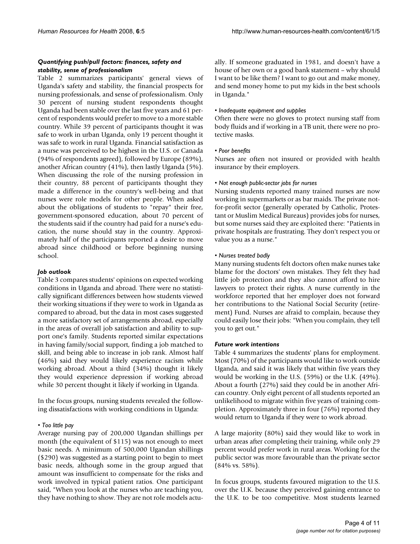## *Quantifying push/pull factors: finances, safety and stability, sense of professionalism*

Table 2 summarizes participants' general views of Uganda's safety and stability, the financial prospects for nursing professionals, and sense of professionalism. Only 30 percent of nursing student respondents thought Uganda had been stable over the last five years and 61 percent of respondents would prefer to move to a more stable country. While 39 percent of participants thought it was safe to work in urban Uganda, only 19 percent thought it was safe to work in rural Uganda. Financial satisfaction as a nurse was perceived to be highest in the U.S. or Canada (94% of respondents agreed), followed by Europe (89%), another African country (41%), then lastly Uganda (5%). When discussing the role of the nursing profession in their country, 88 percent of participants thought they made a difference in the country's well-being and that nurses were role models for other people. When asked about the obligations of students to "repay" their free, government-sponsored education, about 70 percent of the students said if the country had paid for a nurse's education, the nurse should stay in the country. Approximately half of the participants reported a desire to move abroad since childhood or before beginning nursing school.

# *Job outlook*

Table 3 compares students' opinions on expected working conditions in Uganda and abroad. There were no statistically significant differences between how students viewed their working situations if they were to work in Uganda as compared to abroad, but the data in most cases suggested a more satisfactory set of arrangements abroad, especially in the areas of overall job satisfaction and ability to support one's family. Students reported similar expectations in having family/social support, finding a job matched to skill, and being able to increase in job rank. Almost half (46%) said they would likely experience racism while working abroad. About a third (34%) thought it likely they would experience depression if working abroad while 30 percent thought it likely if working in Uganda.

In the focus groups, nursing students revealed the following dissatisfactions with working conditions in Uganda:

#### *• Too little pay*

Average nursing pay of 200,000 Ugandan shillings per month (the equivalent of \$115) was not enough to meet basic needs. A minimum of 500,000 Ugandan shillings (\$290) was suggested as a starting point to begin to meet basic needs, although some in the group argued that amount was insufficient to compensate for the risks and work involved in typical patient ratios. One participant said, "When you look at the nurses who are teaching you, they have nothing to show. They are not role models actually. If someone graduated in 1981, and doesn't have a house of her own or a good bank statement – why should I want to be like them? I want to go out and make money, and send money home to put my kids in the best schools in Uganda."

#### *• Inadequate equipment and supplies*

Often there were no gloves to protect nursing staff from body fluids and if working in a TB unit, there were no protective masks.

#### *• Poor benefits*

Nurses are often not insured or provided with health insurance by their employers.

#### *• Not enough public-sector jobs for nurses*

Nursing students reported many trained nurses are now working in supermarkets or as bar maids. The private notfor-profit sector (generally operated by Catholic, Protestant or Muslim Medical Bureaus) provides jobs for nurses, but some nurses said they are exploited there: "Patients in private hospitals are frustrating. They don't respect you or value you as a nurse."

### *• Nurses treated badly*

Many nursing students felt doctors often make nurses take blame for the doctors' own mistakes. They felt they had little job protection and they also cannot afford to hire lawyers to protect their rights. A nurse currently in the workforce reported that her employer does not forward her contributions to the National Social Security (retirement) Fund. Nurses are afraid to complain, because they could easily lose their jobs: "When you complain, they tell you to get out."

#### *Future work intentions*

Table 4 summarizes the students' plans for employment. Most (70%) of the participants would like to work outside Uganda, and said it was likely that within five years they would be working in the U.S. (59%) or the U.K. (49%). About a fourth (27%) said they could be in another African country. Only eight percent of all students reported an unlikelihood to migrate within five years of training completion. Approximately three in four (76%) reported they would return to Uganda if they were to work abroad.

A large majority (80%) said they would like to work in urban areas after completing their training, while only 29 percent would prefer work in rural areas. Working for the public sector was more favourable than the private sector (84% vs. 58%).

In focus groups, students favoured migration to the U.S. over the U.K. because they perceived gaining entrance to the U.K. to be too competitive. Most students learned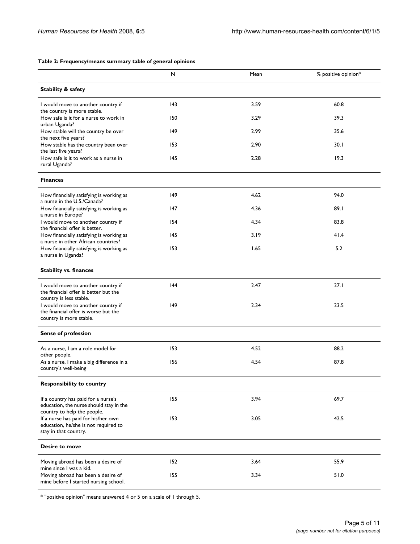#### **Table 2: Frequency/means summary table of general opinions**

|                                                                                                               | N   | Mean | % positive opinion* |
|---------------------------------------------------------------------------------------------------------------|-----|------|---------------------|
| <b>Stability &amp; safety</b>                                                                                 |     |      |                     |
| I would move to another country if<br>the country is more stable.                                             | 43  | 3.59 | 60.8                |
| How safe is it for a nurse to work in<br>urban Uganda?                                                        | 150 | 3.29 | 39.3                |
| How stable will the country be over<br>the next five years?                                                   | 149 | 2.99 | 35.6                |
| How stable has the country been over<br>the last five years?                                                  | 153 | 2.90 | 30.1                |
| How safe is it to work as a nurse in<br>rural Uganda?                                                         | 145 | 2.28 | 19.3                |
| <b>Finances</b>                                                                                               |     |      |                     |
| How financially satisfying is working as<br>a nurse in the U.S./Canada?                                       | 149 | 4.62 | 94.0                |
| How financially satisfying is working as<br>a nurse in Europe?                                                | 147 | 4.36 | 89.1                |
| I would move to another country if<br>the financial offer is better.                                          | 154 | 4.34 | 83.8                |
| How financially satisfying is working as<br>a nurse in other African countries?                               | 145 | 3.19 | 41.4                |
| How financially satisfying is working as<br>a nurse in Uganda?                                                | 153 | 1.65 | 5.2                 |
| <b>Stability vs. finances</b>                                                                                 |     |      |                     |
| I would move to another country if<br>the financial offer is better but the<br>country is less stable.        | 144 | 2.47 | 27.1                |
| I would move to another country if<br>the financial offer is worse but the<br>country is more stable.         | 149 | 2.34 | 23.5                |
| <b>Sense of profession</b>                                                                                    |     |      |                     |
| As a nurse, I am a role model for<br>other people.                                                            | 153 | 4.52 | 88.2                |
| As a nurse, I make a big difference in a<br>country's well-being                                              | 156 | 4.54 | 87.8                |
| <b>Responsibility to country</b>                                                                              |     |      |                     |
| If a country has paid for a nurse's<br>education, the nurse should stay in the<br>country to help the people. | 155 | 3.94 | 69.7                |
| If a nurse has paid for his/her own<br>education, he/she is not required to<br>stay in that country.          | 153 | 3.05 | 42.5                |
| Desire to move                                                                                                |     |      |                     |
| Moving abroad has been a desire of<br>mine since I was a kid.                                                 | 152 | 3.64 | 55.9                |
| Moving abroad has been a desire of<br>mine before I started nursing school.                                   | 155 | 3.34 | 51.0                |

\* "positive opinion" means answered 4 or 5 on a scale of 1 through 5.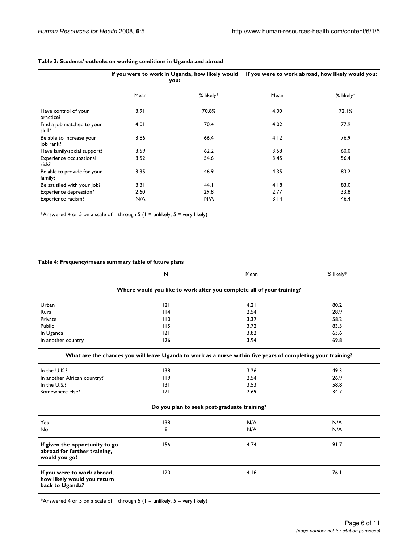|                                        | If you were to work in Uganda, how likely would<br>you: |           | If you were to work abroad, how likely would you: |           |
|----------------------------------------|---------------------------------------------------------|-----------|---------------------------------------------------|-----------|
|                                        | Mean                                                    | % likely* | Mean                                              | % likely* |
| Have control of your<br>practice?      | 3.91                                                    | 70.8%     | 4.00                                              | 72.1%     |
| Find a job matched to your<br>skill?   | 4.01                                                    | 70.4      | 4.02                                              | 77.9      |
| Be able to increase your<br>job rank?  | 3.86                                                    | 66.4      | 4.12                                              | 76.9      |
| Have family/social support?            | 3.59                                                    | 62.2      | 3.58                                              | 60.0      |
| Experience occupational<br>risk?       | 3.52                                                    | 54.6      | 3.45                                              | 56.4      |
| Be able to provide for your<br>family? | 3.35                                                    | 46.9      | 4.35                                              | 83.2      |
| Be satisfied with your job?            | 3.31                                                    | 44. I     | 4.18                                              | 83.0      |
| Experience depression?                 | 2.60                                                    | 29.8      | 2.77                                              | 33.8      |
| Experience racism?                     | N/A                                                     | N/A       | 3.14                                              | 46.4      |

#### **Table 3: Students' outlooks on working conditions in Uganda and abroad**

\*Answered 4 or 5 on a scale of 1 through 5 (1 = unlikely, 5 = very likely)

# **Table 4: Frequency/means summary table of future plans**

|                                                                                 | $\mathsf{N}$                                                                                                 | Mean                                        | % likely* |
|---------------------------------------------------------------------------------|--------------------------------------------------------------------------------------------------------------|---------------------------------------------|-----------|
|                                                                                 | Where would you like to work after you complete all of your training?                                        |                                             |           |
| Urban                                                                           | 2                                                                                                            | 4.21                                        | 80.2      |
| Rural                                                                           | 114                                                                                                          | 2.54                                        | 28.9      |
| Private                                                                         | 110                                                                                                          | 3.37                                        | 58.2      |
| Public                                                                          | 115                                                                                                          | 3.72                                        | 83.5      |
| In Uganda                                                                       | 2                                                                                                            | 3.82                                        | 63.6      |
| In another country                                                              | 126                                                                                                          | 3.94                                        | 69.8      |
|                                                                                 | What are the chances you will leave Uganda to work as a nurse within five years of completing your training? |                                             |           |
| In the U.K.?                                                                    | 138                                                                                                          | 3.26                                        | 49.3      |
| In another African country?                                                     | 119                                                                                                          | 2.54                                        | 26.9      |
| In the U.S.?                                                                    | 3                                                                                                            | 3.53                                        | 58.8      |
| Somewhere else?                                                                 | 2                                                                                                            | 2.69                                        | 34.7      |
|                                                                                 |                                                                                                              | Do you plan to seek post-graduate training? |           |
| Yes                                                                             | 138                                                                                                          | N/A                                         | N/A       |
| No                                                                              | 8                                                                                                            | N/A                                         | N/A       |
| If given the opportunity to go<br>abroad for further training,<br>would you go? | 156                                                                                                          | 4.74                                        | 91.7      |
| If you were to work abroad,<br>how likely would you return<br>back to Uganda?   | 120                                                                                                          | 4.16                                        | 76.1      |

\*Answered 4 or 5 on a scale of 1 through 5 (1 = unlikely, 5 = very likely)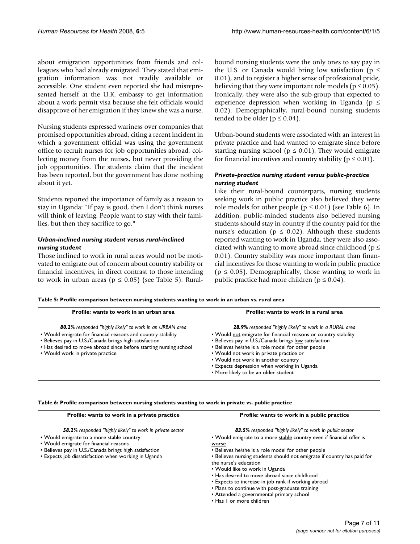about emigration opportunities from friends and colleagues who had already emigrated. They stated that emigration information was not readily available or accessible. One student even reported she had misrepresented herself at the U.K. embassy to get information about a work permit visa because she felt officials would disapprove of her emigration if they knew she was a nurse.

Nursing students expressed wariness over companies that promised opportunities abroad, citing a recent incident in which a government official was using the government office to recruit nurses for job opportunities abroad, collecting money from the nurses, but never providing the job opportunities. The students claim that the incident has been reported, but the government has done nothing about it yet.

Students reported the importance of family as a reason to stay in Uganda: "If pay is good, then I don't think nurses will think of leaving. People want to stay with their families, but then they sacrifice to go."

# *Urban-inclined nursing student versus rural-inclined nursing student*

Those inclined to work in rural areas would not be motivated to emigrate out of concern about country stability or financial incentives, in direct contrast to those intending to work in urban areas ( $p \le 0.05$ ) (see Table 5). Ruralbound nursing students were the only ones to say pay in the U.S. or Canada would bring low satisfaction ( $p \leq$ 0.01), and to register a higher sense of professional pride, believing that they were important role models ( $p \le 0.05$ ). Ironically, they were also the sub-group that expected to experience depression when working in Uganda ( $p \le$ 0.02). Demographically, rural-bound nursing students tended to be older ( $p \le 0.04$ ).

Urban-bound students were associated with an interest in private practice and had wanted to emigrate since before starting nursing school ( $p \le 0.01$ ). They would emigrate for financial incentives and country stability ( $p \le 0.01$ ).

# *Private-practice nursing student versus public-practice nursing student*

Like their rural-bound counterparts, nursing students seeking work in public practice also believed they were role models for other people ( $p \le 0.01$ ) (see Table 6). In addition, public-minded students also believed nursing students should stay in country if the country paid for the nurse's education ( $p \le 0.02$ ). Although these students reported wanting to work in Uganda, they were also associated with wanting to move abroad since childhood ( $p \leq$ 0.01). Country stability was more important than financial incentives for those wanting to work in public practice  $(p \le 0.05)$ . Demographically, those wanting to work in public practice had more children ( $p \le 0.04$ ).

**Table 5: Profile comparison between nursing students wanting to work in an urban vs. rural area**

| Profile: wants to work in an urban area                                                                                                                                                                                                                                                     | Profile: wants to work in a rural area                                                                                                                                                                                                                                                                                                                                                                             |
|---------------------------------------------------------------------------------------------------------------------------------------------------------------------------------------------------------------------------------------------------------------------------------------------|--------------------------------------------------------------------------------------------------------------------------------------------------------------------------------------------------------------------------------------------------------------------------------------------------------------------------------------------------------------------------------------------------------------------|
| 80.2% responded "highly likely" to work in an URBAN area<br>• Would emigrate for financial reasons and country stability<br>• Believes pay in U.S./Canada brings high satisfaction<br>• Has desired to move abroad since before starting nursing school<br>• Would work in private practice | 28.9% responded "highly likely" to work in a RURAL area<br>. Would not emigrate for financial reasons or country stability<br>• Believes pay in U.S./Canada brings low satisfaction<br>• Believes he/she is a role model for other people<br>• Would not work in private practice or<br>• Would not work in another country<br>• Expects depression when working in Uganda<br>• More likely to be an older student |
|                                                                                                                                                                                                                                                                                             |                                                                                                                                                                                                                                                                                                                                                                                                                    |

**Table 6: Profile comparison between nursing students wanting to work in private vs. public practice**

| Profile: wants to work in a private practice              | Profile: wants to work in a public practice                                                      |
|-----------------------------------------------------------|--------------------------------------------------------------------------------------------------|
| 58.2% responded "highly likely" to work in private sector | 83.5% responded "highly likely" to work in public sector                                         |
| • Would emigrate to a more stable country                 | . Would emigrate to a more stable country even if financial offer is                             |
| • Would emigrate for financial reasons                    | worse                                                                                            |
| • Believes pay in U.S./Canada brings high satisfaction    | • Believes he/she is a role model for other people                                               |
| • Expects job dissatisfaction when working in Uganda      | • Believes nursing students should not emigrate if country has paid for<br>the nurse's education |
|                                                           | • Would like to work in Uganda                                                                   |
|                                                           | • Has desired to move abroad since childhood                                                     |
|                                                           | • Expects to increase in job rank if working abroad                                              |
|                                                           | • Plans to continue with post-graduate training                                                  |
|                                                           | • Attended a governmental primary school                                                         |
|                                                           | • Has I or more children                                                                         |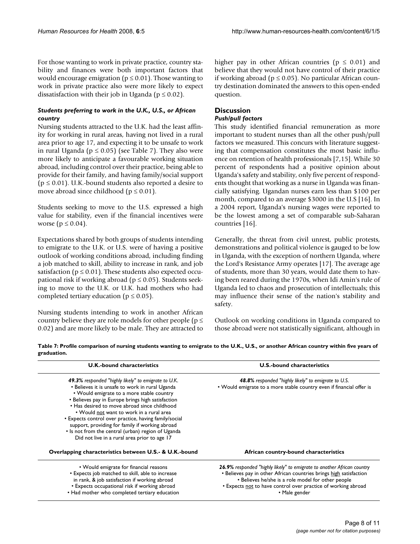For those wanting to work in private practice, country stability and finances were both important factors that would encourage emigration ( $p \le 0.01$ ). Those wanting to work in private practice also were more likely to expect dissatisfaction with their job in Uganda ( $p \le 0.02$ ).

# *Students preferring to work in the U.K., U.S., or African country*

Nursing students attracted to the U.K. had the least affinity for working in rural areas, having not lived in a rural area prior to age 17, and expecting it to be unsafe to work in rural Uganda ( $p \le 0.05$ ) (see Table 7). They also were more likely to anticipate a favourable working situation abroad, including control over their practice, being able to provide for their family, and having family/social support ( $p \le 0.01$ ). U.K.-bound students also reported a desire to move abroad since childhood ( $p \le 0.01$ ).

Students seeking to move to the U.S. expressed a high value for stability, even if the financial incentives were worse ( $p \le 0.04$ ).

Expectations shared by both groups of students intending to emigrate to the U.K. or U.S. were of having a positive outlook of working conditions abroad, including finding a job matched to skill, ability to increase in rank, and job satisfaction ( $p \le 0.01$ ). These students also expected occupational risk if working abroad ( $p \le 0.05$ ). Students seeking to move to the U.K. or U.K. had mothers who had completed tertiary education ( $p \le 0.05$ ).

Nursing students intending to work in another African country believe they are role models for other people ( $p \leq$ 0.02) and are more likely to be male. They are attracted to higher pay in other African countries ( $p \leq 0.01$ ) and believe that they would not have control of their practice if working abroad ( $p \le 0.05$ ). No particular African country destination dominated the answers to this open-ended question.

# **Discussion**

# *Push/pull factors*

This study identified financial remuneration as more important to student nurses than all the other push/pull factors we measured. This concurs with literature suggesting that compensation constitutes the most basic influence on retention of health professionals [7,15]. While 30 percent of respondents had a positive opinion about Uganda's safety and stability, only five percent of respondents thought that working as a nurse in Uganda was financially satisfying. Ugandan nurses earn less than \$100 per month, compared to an average \$3000 in the U.S [16]. In a 2004 report, Uganda's nursing wages were reported to be the lowest among a set of comparable sub-Saharan countries [16].

Generally, the threat from civil unrest, public protests, demonstrations and political violence is gauged to be low in Uganda, with the exception of northern Uganda, where the Lord's Resistance Army operates [17]. The average age of students, more than 30 years, would date them to having been reared during the 1970s, when Idi Amin's rule of Uganda led to chaos and prosecution of intellectuals; this may influence their sense of the nation's stability and safety.

Outlook on working conditions in Uganda compared to those abroad were not statistically significant, although in

**Table 7: Profile comparison of nursing students wanting to emigrate to the U.K., U.S., or another African country within five years of graduation.**

| <b>U.K.-bound characteristics</b>                                                                                                                                                                                                                                                                                                                                                                                                                                                                                             | <b>U.S.-bound characteristics</b>                                                                                                                   |  |
|-------------------------------------------------------------------------------------------------------------------------------------------------------------------------------------------------------------------------------------------------------------------------------------------------------------------------------------------------------------------------------------------------------------------------------------------------------------------------------------------------------------------------------|-----------------------------------------------------------------------------------------------------------------------------------------------------|--|
| <b>49.3%</b> responded "highly likely" to emigrate to U.K.<br>• Believes it is unsafe to work in rural Uganda<br>• Would emigrate to a more stable country<br>• Believes pay in Europe brings high satisfaction<br>• Has desired to move abroad since childhood<br>• Would not want to work in a rural area<br>• Expects control over practice, having family/social<br>support, providing for family if working abroad<br>• Is not from the central (urban) region of Uganda<br>Did not live in a rural area prior to age 17 | 48.8% responded "highly likely" to emigrate to U.S.<br>. Would emigrate to a more stable country even if financial offer is                         |  |
| Overlapping characteristics between U.S.- & U.K.-bound                                                                                                                                                                                                                                                                                                                                                                                                                                                                        | African country-bound characteristics                                                                                                               |  |
| • Would emigrate for financial reasons<br>• Expects job matched to skill, able to increase                                                                                                                                                                                                                                                                                                                                                                                                                                    | <b>26.9%</b> responded "highly likely" to emigrate to another African country<br>• Believes pay in other African countries brings high satisfaction |  |
| in rank, & job satisfaction if working abroad                                                                                                                                                                                                                                                                                                                                                                                                                                                                                 | • Believes he/she is a role model for other people                                                                                                  |  |
| • Expects occupational risk if working abroad                                                                                                                                                                                                                                                                                                                                                                                                                                                                                 | • Expects not to have control over practice of working abroad                                                                                       |  |
| • Had mother who completed tertiary education                                                                                                                                                                                                                                                                                                                                                                                                                                                                                 | • Male gender                                                                                                                                       |  |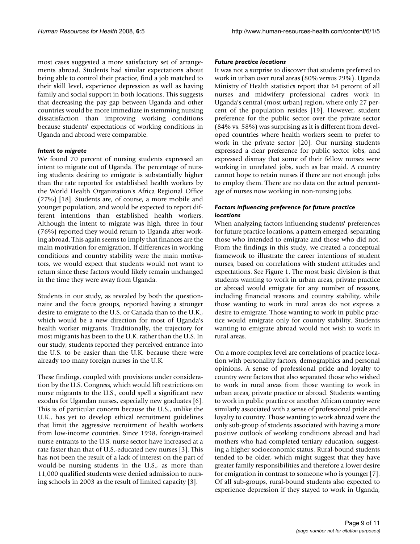most cases suggested a more satisfactory set of arrangements abroad. Students had similar expectations about being able to control their practice, find a job matched to their skill level, experience depression as well as having family and social support in both locations. This suggests that decreasing the pay gap between Uganda and other countries would be more immediate in stemming nursing dissatisfaction than improving working conditions because students' expectations of working conditions in Uganda and abroad were comparable.

#### *Intent to migrate*

We found 70 percent of nursing students expressed an intent to migrate out of Uganda. The percentage of nursing students desiring to emigrate is substantially higher than the rate reported for established health workers by the World Health Organization's Africa Regional Office (27%) [18]. Students are, of course, a more mobile and younger population, and would be expected to report different intentions than established health workers. Although the intent to migrate was high, three in four (76%) reported they would return to Uganda after working abroad. This again seems to imply that finances are the main motivation for emigration. If differences in working conditions and country stability were the main motivators, we would expect that students would not want to return since these factors would likely remain unchanged in the time they were away from Uganda.

Students in our study, as revealed by both the questionnaire and the focus groups, reported having a stronger desire to emigrate to the U.S. or Canada than to the U.K., which would be a new direction for most of Uganda's health worker migrants. Traditionally, the trajectory for most migrants has been to the U.K. rather than the U.S. In our study, students reported they perceived entrance into the U.S. to be easier than the U.K. because there were already too many foreign nurses in the U.K.

These findings, coupled with provisions under consideration by the U.S. Congress, which would lift restrictions on nurse migrants to the U.S., could spell a significant new exodus for Ugandan nurses, especially new graduates [6]. This is of particular concern because the U.S., unlike the U.K., has yet to develop ethical recruitment guidelines that limit the aggressive recruitment of health workers from low-income countries. Since 1998, foreign-trained nurse entrants to the U.S. nurse sector have increased at a rate faster than that of U.S.-educated new nurses [3]. This has not been the result of a lack of interest on the part of would-be nursing students in the U.S., as more than 11,000 qualified students were denied admission to nursing schools in 2003 as the result of limited capacity [3].

#### *Future practice locations*

It was not a surprise to discover that students preferred to work in urban over rural areas (80% versus 29%). Uganda Ministry of Health statistics report that 64 percent of all nurses and midwifery professional cadres work in Uganda's central (most urban) region, where only 27 percent of the population resides [19]. However, student preference for the public sector over the private sector (84% vs. 58%) was surprising as it is different from developed countries where health workers seem to prefer to work in the private sector [20]. Our nursing students expressed a clear preference for public sector jobs, and expressed dismay that some of their fellow nurses were working in unrelated jobs, such as bar maid. A country cannot hope to retain nurses if there are not enough jobs to employ them. There are no data on the actual percentage of nurses now working in non-nursing jobs.

### *Factors influencing preference for future practice locations*

When analyzing factors influencing students' preferences for future practice locations, a pattern emerged, separating those who intended to emigrate and those who did not. From the findings in this study, we created a conceptual framework to illustrate the career intentions of student nurses, based on correlations with student attitudes and expectations. See Figure 1. The most basic division is that students wanting to work in urban areas, private practice or abroad would emigrate for any number of reasons, including financial reasons and country stability, while those wanting to work in rural areas do not express a desire to emigrate. Those wanting to work in public practice would emigrate only for country stability. Students wanting to emigrate abroad would not wish to work in rural areas.

On a more complex level are correlations of practice location with personality factors, demographics and personal opinions. A sense of professional pride and loyalty to country were factors that also separated those who wished to work in rural areas from those wanting to work in urban areas, private practice or abroad. Students wanting to work in public practice or another African country were similarly associated with a sense of professional pride and loyalty to country. Those wanting to work abroad were the only sub-group of students associated with having a more positive outlook of working conditions abroad and had mothers who had completed tertiary education, suggesting a higher socioeconomic status. Rural-bound students tended to be older, which might suggest that they have greater family responsibilities and therefore a lower desire for emigration in contrast to someone who is younger [7]. Of all sub-groups, rural-bound students also expected to experience depression if they stayed to work in Uganda,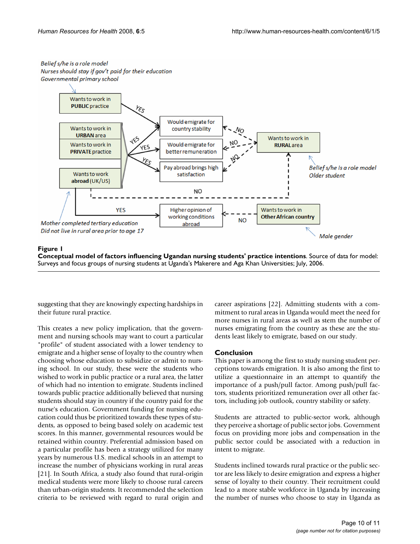### Belief s/he is a role model Nurses should stay if gov't paid for their education Governmental primary school



# Figure 1

**Conceptual model of factors influencing Ugandan nursing students' practice intentions**. Source of data for model: Surveys and focus groups of nursing students at Uganda's Makerere and Aga Khan Universities; July, 2006.

suggesting that they are knowingly expecting hardships in their future rural practice.

This creates a new policy implication, that the government and nursing schools may want to court a particular "profile" of student associated with a lower tendency to emigrate and a higher sense of loyalty to the country when choosing whose education to subsidize or admit to nursing school. In our study, these were the students who wished to work in public practice or a rural area, the latter of which had no intention to emigrate. Students inclined towards public practice additionally believed that nursing students should stay in country if the country paid for the nurse's education. Government funding for nursing education could thus be prioritized towards these types of students, as opposed to being based solely on academic test scores. In this manner, governmental resources would be retained within country. Preferential admission based on a particular profile has been a strategy utilized for many years by numerous U.S. medical schools in an attempt to increase the number of physicians working in rural areas [21]. In South Africa, a study also found that rural-origin medical students were more likely to choose rural careers than urban-origin students. It recommended the selection criteria to be reviewed with regard to rural origin and

career aspirations [22]. Admitting students with a commitment to rural areas in Uganda would meet the need for more nurses in rural areas as well as stem the number of nurses emigrating from the country as these are the students least likely to emigrate, based on our study.

# **Conclusion**

This paper is among the first to study nursing student perceptions towards emigration. It is also among the first to utilize a questionnaire in an attempt to quantify the importance of a push/pull factor. Among push/pull factors, students prioritized remuneration over all other factors, including job outlook, country stability or safety.

Students are attracted to public-sector work, although they perceive a shortage of public sector jobs. Government focus on providing more jobs and compensation in the public sector could be associated with a reduction in intent to migrate.

Students inclined towards rural practice or the public sector are less likely to desire emigration and express a higher sense of loyalty to their country. Their recruitment could lead to a more stable workforce in Uganda by increasing the number of nurses who choose to stay in Uganda as